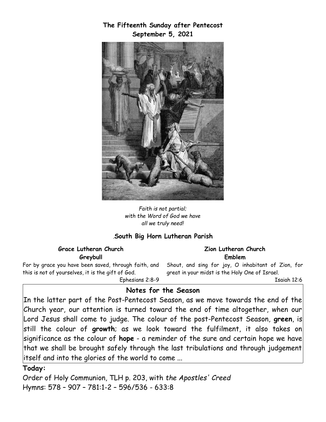**The Fifteenth Sunday after Pentecost September 5, 2021**



*Faith is not partial; with the Word of God we have all we truly need!*

## *.***South Big Horn Lutheran Parish**

**Grace Lutheran Church Greybull**

For by grace you have been saved, through faith, and this is not of yourselves, it is the gift of God.

Ephesians 2:8-9

#### **Zion Lutheran Church Emblem**

Shout, and sing for joy, O inhabitant of Zion, for great in your midst is the Holy One of Israel.

Isaiah 12:6

### **Notes for the Season**

In the latter part of the Post-Pentecost Season, as we move towards the end of the Church year, our attention is turned toward the end of time altogether, when our Lord Jesus shall come to judge. The colour of the post-Pentecost Season, **green**, is still the colour of **growth**; as we look toward the fulfilment, it also takes on significance as the colour of **hope** - a reminder of the sure and certain hope we have that we shall be brought safely through the last tribulations and through judgement itself and into the glories of the world to come ...

#### **Today:**

Order of Holy Communion, TLH p. 203, with *the Apostles' Creed*  Hymns: 578 – 907 – 781:1-2 – 596/536 - 633:8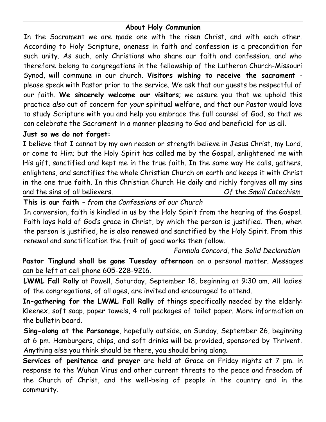# **About Holy Communion**

In the Sacrament we are made one with the risen Christ, and with each other. According to Holy Scripture, oneness in faith and confession is a precondition for such unity. As such, only Christians who share our faith and confession, and who therefore belong to congregations in the fellowship of the Lutheran Church-Missouri Synod, will commune in our church. **Visitors wishing to receive the sacrament** -  $|{\sf please}$  speak with Pastor prior to the service. We ask that our guests be respectful of $|$ our faith. **We sincerely welcome our visitors**; we assure you that we uphold this practice *also* out of concern for *your* spiritual welfare, and that our Pastor would love to study Scripture with you and help you embrace the full counsel of God, so that we can celebrate the Sacrament in a manner pleasing to God and beneficial for us all.

## **Just so we do not forget:**

I believe that I cannot by my own reason or strength believe in Jesus Christ, my Lord, or come to Him; but the Holy Spirit has called me by the Gospel, enlightened me with His gift, sanctified and kept me in the true faith. In the same way He calls, gathers, enlightens, and sanctifies the whole Christian Church on earth and keeps it with Christ in the one true faith. In this Christian Church He daily and richly forgives all my sins and the sins of all believers. *Of the Small Catechism*

**This is our faith** *– from the Confessions of our Church*

In conversion, faith is kindled in us by the Holy Spirit from the hearing of the Gospel. Faith lays hold of God's grace in Christ, by which the person is justified. Then, when the person is justified, he is also renewed and sanctified by the Holy Spirit. From this renewal and sanctification the fruit of good works then follow.

*Formula Concord,* the *Solid Declaration*

**Pastor Tinglund shall be gone Tuesday afternoon** on a personal matter. Messages can be left at cell phone 605-228-9216.

**LWML Fall Rally** at Powell, Saturday, September 18, beginning at 9:30 am. All ladies of the congregations, of all ages, are invited and encouraged to attend.

**In-gathering for the LWML Fall Rally** of things specifically needed by the elderly: Kleenex, soft soap, paper towels, 4 roll packages of toilet paper. More information on the bulletin board.

**Sing-along at the Parsonage**, hopefully outside, on Sunday, September 26, beginning at 6 pm. Hamburgers, chips, and soft drinks will be provided, sponsored by Thrivent. Anything else you think should be there, you should bring along.

**Services of penitence and prayer** are held at Grace on Friday nights at 7 pm. in response to the Wuhan Virus and other current threats to the peace and freedom of the Church of Christ, and the well-being of people in the country and in the community.